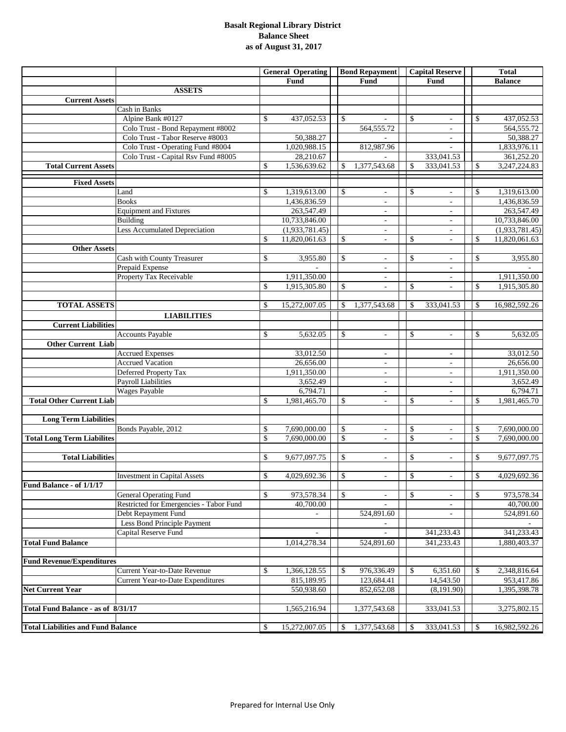#### **Basalt Regional Library District Balance Sheet as of August 31, 2017**

|                                           |                                         | <b>General Operating</b> |                | <b>Bond Repayment</b> |                                                      | <b>Capital Reserve</b> |                          | <b>Total</b>  |                |
|-------------------------------------------|-----------------------------------------|--------------------------|----------------|-----------------------|------------------------------------------------------|------------------------|--------------------------|---------------|----------------|
|                                           |                                         |                          | Fund           |                       | Fund                                                 |                        | Fund                     |               | <b>Balance</b> |
|                                           | <b>ASSETS</b>                           |                          |                |                       |                                                      |                        |                          |               |                |
| <b>Current Assets</b>                     |                                         |                          |                |                       |                                                      |                        |                          |               |                |
|                                           | Cash in Banks                           |                          |                |                       |                                                      |                        |                          |               |                |
|                                           | Alpine Bank #0127                       | \$                       | 437,052.53     | \$                    |                                                      | \$                     |                          | $\mathbb{S}$  | 437,052.53     |
|                                           | Colo Trust - Bond Repayment #8002       |                          |                |                       | 564, 555. 72                                         |                        | $\overline{\phantom{a}}$ |               | 564, 555. 72   |
|                                           | Colo Trust - Tabor Reserve #8003        |                          | 50,388.27      |                       |                                                      |                        | $\overline{\phantom{a}}$ |               | 50,388.27      |
|                                           | Colo Trust - Operating Fund #8004       |                          | 1,020,988.15   |                       | 812,987.96                                           |                        |                          |               | 1,833,976.11   |
|                                           | Colo Trust - Capital Rsv Fund #8005     |                          | 28,210.67      |                       |                                                      |                        | 333,041.53               |               | 361,252.20     |
| <b>Total Current Assets</b>               |                                         | \$                       | 1,536,639.62   | \$                    | 1,377,543.68                                         | \$                     | 333,041.53               | \$            | 3,247,224.83   |
|                                           |                                         |                          |                |                       |                                                      |                        |                          |               |                |
| <b>Fixed Assets</b>                       |                                         |                          |                |                       |                                                      |                        |                          |               |                |
|                                           | Land                                    | \$                       | 1,319,613.00   | \$                    | $\overline{\phantom{a}}$                             | \$                     |                          | $\mathcal{S}$ | 1,319,613.00   |
|                                           | <b>Books</b>                            |                          | 1,436,836.59   |                       | $\omega$                                             |                        | L.                       |               | 1,436,836.59   |
|                                           | <b>Equipment and Fixtures</b>           |                          | 263,547.49     |                       | $\overline{\phantom{a}}$                             |                        | ÷,                       |               | 263,547.49     |
|                                           | Building                                |                          | 10,733,846.00  |                       | $\overline{\phantom{a}}$                             |                        | $\overline{\phantom{a}}$ |               | 10,733,846.00  |
|                                           | Less Accumulated Depreciation           |                          | (1,933,781.45) |                       | $\overline{\phantom{a}}$                             |                        | ÷,                       |               | (1,933,781.45) |
|                                           |                                         | \$                       | 11,820,061.63  | \$                    | $\overline{\phantom{a}}$                             | \$                     | ÷,                       | \$            | 11,820,061.63  |
| <b>Other Assets</b>                       |                                         |                          |                |                       |                                                      |                        |                          |               |                |
|                                           | Cash with County Treasurer              | \$                       | 3,955.80       | \$                    | $\overline{\phantom{a}}$                             | \$                     |                          | $\mathbb{S}$  | 3,955.80       |
|                                           | Prepaid Expense                         |                          |                |                       | $\overline{\phantom{a}}$                             |                        | $\overline{\phantom{a}}$ |               |                |
|                                           | Property Tax Receivable                 |                          | 1,911,350.00   |                       | $\overline{\phantom{a}}$                             |                        | $\overline{\phantom{a}}$ |               | 1,911,350.00   |
|                                           |                                         | \$                       | 1,915,305.80   | \$                    | $\overline{\phantom{a}}$                             | \$                     |                          | \$            | 1,915,305.80   |
|                                           |                                         |                          |                |                       |                                                      |                        |                          |               |                |
| <b>TOTAL ASSETS</b>                       |                                         | \$                       | 15,272,007.05  | \$                    | 1,377,543.68                                         | \$                     | 333,041.53               | <sup>\$</sup> | 16,982,592.26  |
|                                           | <b>LIABILITIES</b>                      |                          |                |                       |                                                      |                        |                          |               |                |
| <b>Current Liabilities</b>                |                                         |                          |                |                       |                                                      |                        |                          |               |                |
|                                           | <b>Accounts Payable</b>                 | \$                       | 5,632.05       | \$                    | $\omega$                                             | \$                     | $\mathbf{r}$             | $\mathbb{S}$  | 5,632.05       |
| <b>Other Current Liab</b>                 |                                         |                          |                |                       |                                                      |                        |                          |               |                |
|                                           | <b>Accrued Expenses</b>                 |                          | 33,012.50      |                       | $\overline{\phantom{a}}$                             |                        | $\overline{\phantom{a}}$ |               | 33,012.50      |
|                                           | <b>Accrued Vacation</b>                 |                          | 26,656.00      |                       | ÷.                                                   |                        | ä,                       |               | 26,656.00      |
|                                           | Deferred Property Tax                   |                          | 1,911,350.00   |                       |                                                      |                        | $\overline{\phantom{a}}$ |               | 1,911,350.00   |
|                                           | Payroll Liabilities                     |                          | 3,652.49       |                       | $\overline{\phantom{a}}$<br>$\overline{\phantom{a}}$ |                        | $\overline{\phantom{a}}$ |               | 3,652.49       |
|                                           | Wages Payable                           |                          | 6,794.71       |                       | ÷,                                                   |                        | L,                       |               | 6,794.71       |
| <b>Total Other Current Liab</b>           |                                         | \$                       | 1,981,465.70   | \$                    | $\blacksquare$                                       | \$                     | $\overline{\phantom{a}}$ | $\mathbb{S}$  | 1,981,465.70   |
|                                           |                                         |                          |                |                       |                                                      |                        |                          |               |                |
| <b>Long Term Liabilities</b>              |                                         |                          |                |                       |                                                      |                        |                          |               |                |
|                                           | Bonds Payable, 2012                     | \$                       | 7,690,000.00   | \$                    | $\blacksquare$                                       | \$                     | $\overline{\phantom{a}}$ | \$            | 7,690,000.00   |
|                                           |                                         | $\mathbb{S}$             | 7,690,000.00   | \$                    |                                                      | \$                     |                          | $\mathcal{S}$ | 7,690,000.00   |
| <b>Total Long Term Liabilites</b>         |                                         |                          |                |                       | ÷,                                                   |                        | L,                       |               |                |
|                                           |                                         |                          |                |                       |                                                      |                        |                          |               |                |
| <b>Total Liabilities</b>                  |                                         | \$                       | 9,677,097.75   | \$                    | $\overline{\phantom{a}}$                             | \$                     |                          | $\mathbb{S}$  | 9,677,097.75   |
|                                           | <b>Investment in Capital Assets</b>     | \$                       | 4,029,692.36   | \$                    | $\blacksquare$                                       | \$                     |                          | \$            | 4,029,692.36   |
|                                           |                                         |                          |                |                       |                                                      |                        | $\overline{\phantom{a}}$ |               |                |
| Fund Balance - of 1/1/17                  |                                         |                          |                |                       |                                                      |                        |                          |               |                |
|                                           | <b>General Operating Fund</b>           | \$                       | 973,578.34     | \$                    | $\overline{\phantom{a}}$                             | \$                     | $\overline{\phantom{a}}$ | \$            | 973,578.34     |
|                                           | Restricted for Emergencies - Tabor Fund |                          | 40,700.00      |                       |                                                      |                        | $\overline{a}$           |               | 40,700.00      |
|                                           | Debt Repayment Fund                     |                          |                |                       | 524,891.60                                           |                        |                          |               | 524,891.60     |
|                                           | Less Bond Principle Payment             |                          |                |                       |                                                      |                        |                          |               |                |
|                                           | Capital Reserve Fund                    |                          |                |                       | ÷,                                                   |                        | 341,233.43               |               | 341,233.43     |
| <b>Total Fund Balance</b>                 |                                         |                          | 1,014,278.34   |                       | 524,891.60                                           |                        | 341,233.43               |               | 1,880,403.37   |
|                                           |                                         |                          |                |                       |                                                      |                        |                          |               |                |
| <b>Fund Revenue/Expenditures</b>          |                                         |                          |                |                       |                                                      |                        |                          |               |                |
|                                           | Current Year-to-Date Revenue            | \$                       | 1,366,128.55   | \$                    | 976,336.49                                           | \$                     | 6,351.60                 | \$            | 2,348,816.64   |
|                                           | Current Year-to-Date Expenditures       |                          | 815,189.95     |                       | 123,684.41                                           |                        | 14,543.50                |               | 953,417.86     |
| <b>Net Current Year</b>                   |                                         |                          | 550,938.60     |                       | 852,652.08                                           |                        | (8,191.90)               |               | 1,395,398.78   |
|                                           |                                         |                          |                |                       |                                                      |                        |                          |               |                |
| Total Fund Balance - as of 8/31/17        |                                         |                          | 1,565,216.94   |                       | 1,377,543.68                                         |                        | 333,041.53               |               | 3,275,802.15   |
|                                           |                                         |                          |                |                       |                                                      |                        |                          |               |                |
| <b>Total Liabilities and Fund Balance</b> |                                         | \$                       | 15,272,007.05  | \$                    | 1,377,543.68                                         | \$                     | 333,041.53               | \$            | 16,982,592.26  |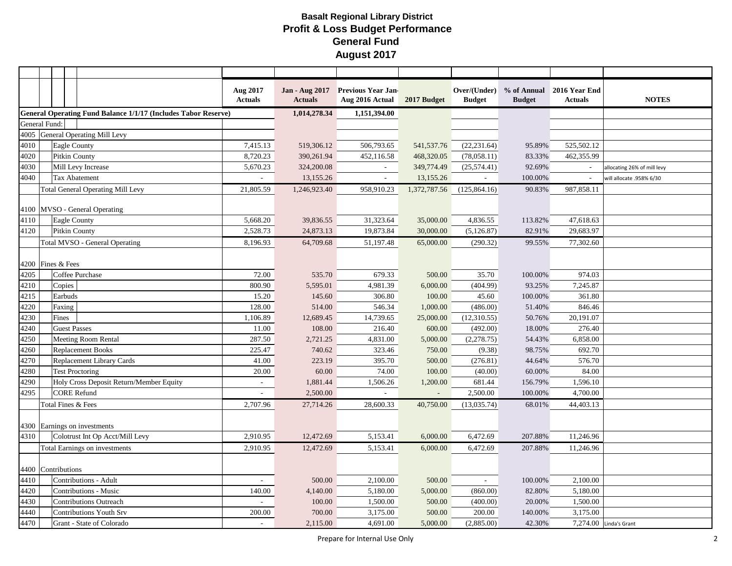|                    |                     |                                                                       | Aug 2017<br><b>Actuals</b> | Jan - Aug 2017<br><b>Actuals</b> | <b>Previous Year Jan-</b><br>Aug 2016 Actual | 2017 Budget    | <b>Budget</b> | <b>Budget</b> | Over/(Under) % of Annual 2016 Year End<br><b>Actuals</b> | <b>NOTES</b>                |
|--------------------|---------------------|-----------------------------------------------------------------------|----------------------------|----------------------------------|----------------------------------------------|----------------|---------------|---------------|----------------------------------------------------------|-----------------------------|
|                    |                     | <b>General Operating Fund Balance 1/1/17 (Includes Tabor Reserve)</b> |                            | 1,014,278.34                     | 1,151,394.00                                 |                |               |               |                                                          |                             |
| General Fund:      |                     |                                                                       |                            |                                  |                                              |                |               |               |                                                          |                             |
|                    |                     | 4005 General Operating Mill Levy                                      |                            |                                  |                                              |                |               |               |                                                          |                             |
| 4010               | Eagle County        |                                                                       | 7,415.13                   | 519,306.12                       | 506,793.65                                   | 541,537.76     | (22, 231.64)  | 95.89%        | 525,502.12                                               |                             |
| 4020               |                     | Pitkin County                                                         | 8,720.23                   | 390,261.94                       | 452,116.58                                   | 468,320.05     | (78,058.11)   | 83.33%        | 462,355.99                                               |                             |
| 4030               |                     | Mill Levy Increase                                                    | 5,670.23                   | 324,200.08                       | $\sim$                                       | 349,774.49     | (25,574.41)   | 92.69%        |                                                          | allocating 26% of mill levy |
| 4040               |                     | Tax Abatement                                                         | $\sim$                     | 13,155.26                        | $\sim$                                       | 13,155.26      | $\sim$        | 100.00%       |                                                          | will allocate .958% 6/30    |
|                    |                     | <b>Total General Operating Mill Levy</b>                              | 21,805.59                  | 1,246,923.40                     | 958,910.23                                   | 1,372,787.56   | (125, 864.16) | 90.83%        | 987,858.11                                               |                             |
|                    |                     | 4100 MVSO - General Operating                                         |                            |                                  |                                              |                |               |               |                                                          |                             |
| 4110               | Eagle County        |                                                                       | 5,668.20                   | 39,836.55                        | 31,323.64                                    | 35,000.00      | 4,836.55      | 113.82%       | 47,618.63                                                |                             |
| 4120               |                     | Pitkin County                                                         | 2,528.73                   | 24,873.13                        | 19,873.84                                    | 30,000.00      | (5, 126.87)   | 82.91%        | 29,683.97                                                |                             |
|                    |                     | Total MVSO - General Operating                                        | 8,196.93                   | 64,709.68                        | 51,197.48                                    | 65,000.00      | (290.32)      | 99.55%        | 77,302.60                                                |                             |
| 4200 Fines & Fees  |                     |                                                                       |                            |                                  |                                              |                |               |               |                                                          |                             |
| 4205               |                     | Coffee Purchase                                                       | 72.00                      | 535.70                           | 679.33                                       | 500.00         | 35.70         | 100.00%       | 974.03                                                   |                             |
| 4210               | Copies              |                                                                       | 800.90                     | 5,595.01                         | 4,981.39                                     | 6,000.00       | (404.99)      | 93.25%        | 7,245.87                                                 |                             |
| 4215               | Earbuds             |                                                                       | 15.20                      | 145.60                           | 306.80                                       | 100.00         | 45.60         | 100.00%       | 361.80                                                   |                             |
| 4220               | Faxing              |                                                                       | 128.00                     | 514.00                           | 546.34                                       | 1,000.00       | (486.00)      | 51.40%        | 846.46                                                   |                             |
| 4230               | Fines               |                                                                       | 1,106.89                   | 12,689.45                        | 14,739.65                                    | 25,000.00      | (12,310.55)   | 50.76%        | 20,191.07                                                |                             |
| 4240               | <b>Guest Passes</b> |                                                                       | 11.00                      | 108.00                           | 216.40                                       | 600.00         | (492.00)      | 18.00%        | 276.40                                                   |                             |
| 4250               |                     | Meeting Room Rental                                                   | 287.50                     | 2,721.25                         | 4,831.00                                     | 5,000.00       | (2,278.75)    | 54.43%        | 6,858.00                                                 |                             |
| 4260               |                     | <b>Replacement Books</b>                                              | 225.47                     | 740.62                           | 323.46                                       | 750.00         | (9.38)        | 98.75%        | 692.70                                                   |                             |
| 4270               |                     | Replacement Library Cards                                             | 41.00                      | 223.19                           | 395.70                                       | 500.00         | (276.81)      | 44.64%        | 576.70                                                   |                             |
| 4280               |                     | <b>Test Proctoring</b>                                                | 20.00                      | 60.00                            | 74.00                                        | 100.00         | (40.00)       | 60.00%        | 84.00                                                    |                             |
| 4290               |                     | Holy Cross Deposit Return/Member Equity                               | $\sim$                     | 1,881.44                         | 1,506.26                                     | 1,200.00       | 681.44        | 156.79%       | 1,596.10                                                 |                             |
| 4295               |                     | <b>CORE Refund</b>                                                    | $\sim$                     | 2,500.00                         | $\sim$                                       | $\mathbb{Z}^+$ | 2,500.00      | 100.00%       | 4,700.00                                                 |                             |
|                    |                     | Total Fines & Fees                                                    | 2,707.96                   | 27,714.26                        | 28,600.33                                    | 40,750.00      | (13,035.74)   | 68.01%        | 44,403.13                                                |                             |
|                    |                     | 4300 Earnings on investments                                          |                            |                                  |                                              |                |               |               |                                                          |                             |
| 4310               |                     | Colotrust Int Op Acct/Mill Levy                                       | 2,910.95                   | 12,472.69                        | 5,153.41                                     | 6,000.00       | 6,472.69      | 207.88%       | 11,246.96                                                |                             |
|                    |                     | Total Earnings on investments                                         | 2,910.95                   | 12,472.69                        | 5,153.41                                     | 6,000.00       | 6,472.69      | 207.88%       | 11,246.96                                                |                             |
| 4400 Contributions |                     |                                                                       |                            |                                  |                                              |                |               |               |                                                          |                             |
| 4410               |                     | Contributions - Adult                                                 | $\overline{a}$             | 500.00                           | 2,100.00                                     | 500.00         | $\sim$        | 100.00%       | 2,100.00                                                 |                             |
| 4420               |                     | <b>Contributions - Music</b>                                          | 140.00                     | 4,140.00                         | 5,180.00                                     | 5,000.00       | (860.00)      | 82.80%        | 5,180.00                                                 |                             |
| 4430               |                     | <b>Contributions Outreach</b>                                         |                            | 100.00                           | 1,500.00                                     | 500.00         | (400.00)      | 20.00%        | 1,500.00                                                 |                             |
| 4440               |                     | <b>Contributions Youth Srv</b>                                        | 200.00                     | 700.00                           | 3,175.00                                     | 500.00         | 200.00        | 140.00%       | 3,175.00                                                 |                             |
| 4470               |                     | Grant - State of Colorado                                             | ÷                          | 2,115.00                         | 4,691.00                                     | 5,000.00       | (2,885.00)    | 42.30%        |                                                          | 7,274.00 Linda's Grant      |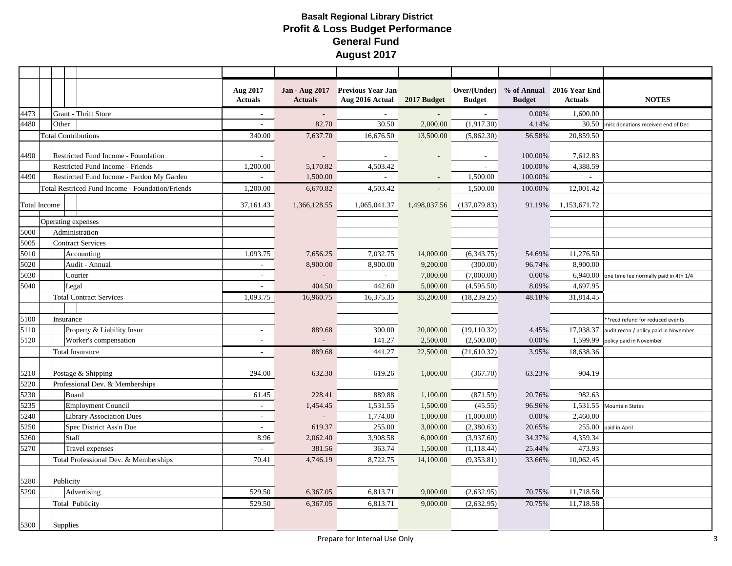|                     |                            |              |                                                  | Aug 2017<br><b>Actuals</b> | <b>Jan - Aug 2017</b><br><b>Actuals</b> | <b>Previous Year Jan-</b><br>Aug 2016 Actual 2017 Budget |              | <b>Budget</b> | <b>Budget</b> | Over/(Under) % of Annual 2016 Year End<br><b>Actuals</b> | <b>NOTES</b>                          |
|---------------------|----------------------------|--------------|--------------------------------------------------|----------------------------|-----------------------------------------|----------------------------------------------------------|--------------|---------------|---------------|----------------------------------------------------------|---------------------------------------|
| 4473                |                            |              | <b>Grant - Thrift Store</b>                      | $\sim$                     |                                         |                                                          |              | $\sim$        | 0.00%         | 1,600.00                                                 |                                       |
| 4480                |                            | Other        |                                                  | ÷.                         | 82.70                                   | 30.50                                                    | 2,000.00     | (1,917.30)    | 4.14%         | 30.50                                                    | misc donations received end of Dec    |
|                     | <b>Total Contributions</b> |              |                                                  | 340.00                     | 7,637.70                                | 16,676.50                                                | 13,500.00    | (5,862.30)    | 56.58%        | 20.859.50                                                |                                       |
| 4490                |                            |              | Restricted Fund Income - Foundation              |                            |                                         |                                                          |              | $\sim$        | 100.00%       | 7,612.83                                                 |                                       |
|                     |                            |              | Restricted Fund Income - Friends                 | 1,200.00                   | 5,170.82                                | 4,503.42                                                 |              | $\sim$        | 100.00%       | 4,388.59                                                 |                                       |
| 4490                |                            |              | Restircted Fund Income - Pardon My Garden        |                            | 1,500.00                                |                                                          |              | 1,500.00      | 100.00%       |                                                          |                                       |
|                     |                            |              | Total Restriced Fund Income - Foundation/Friends | 1,200.00                   | 6,670.82                                | 4,503.42                                                 | $\sim$       | 1,500.00      | 100.00%       | 12,001.42                                                |                                       |
| <b>Total Income</b> |                            |              |                                                  | 37,161.43                  | 1,366,128.55                            | 1,065,041.37                                             | 1,498,037.56 | (137,079.83)  | 91.19%        | 1,153,671.72                                             |                                       |
|                     |                            |              | Operating expenses                               |                            |                                         |                                                          |              |               |               |                                                          |                                       |
| 5000                |                            |              | Administration                                   |                            |                                         |                                                          |              |               |               |                                                          |                                       |
| 5005                |                            |              | <b>Contract Services</b>                         |                            |                                         |                                                          |              |               |               |                                                          |                                       |
| 5010                |                            |              | Accounting                                       | 1,093.75                   | 7,656.25                                | 7,032.75                                                 | 14,000.00    | (6,343.75)    | 54.69%        | 11,276.50                                                |                                       |
| 5020                |                            |              | Audit - Annual                                   |                            | 8,900.00                                | 8,900.00                                                 | 9,200.00     | (300.00)      | 96.74%        | 8,900.00                                                 |                                       |
| 5030                |                            |              | Courier                                          | $\overline{\phantom{a}}$   |                                         | $\sim$                                                   | 7,000.00     | (7,000.00)    | 0.00%         | 6,940.00                                                 | one time fee normally paid in 4th 1/4 |
| 5040                |                            | Legal        |                                                  |                            | 404.50                                  | 442.60                                                   | 5,000.00     | (4,595.50)    | 8.09%         | 4,697.95                                                 |                                       |
|                     |                            |              | <b>Total Contract Services</b>                   | 1,093.75                   | 16,960.75                               | 16,375.35                                                | 35,200.00    | (18, 239.25)  | 48.18%        | 31,814.45                                                |                                       |
|                     |                            |              |                                                  |                            |                                         |                                                          |              |               |               |                                                          |                                       |
| 5100                |                            | Insurance    |                                                  |                            |                                         |                                                          |              |               |               |                                                          | **recd refund for reduced events      |
| 5110                |                            |              | Property & Liability Insur                       | $\sim$                     | 889.68                                  | 300.00                                                   | 20,000.00    | (19, 110.32)  | 4.45%         | 17,038.37                                                | audit recon / policy paid in November |
| 5120                |                            |              | Worker's compensation                            | ٠                          |                                         | 141.27                                                   | 2,500.00     | (2,500.00)    | 0.00%         | 1,599.99                                                 | policy paid in November               |
|                     |                            |              | <b>Total Insurance</b>                           | $\sim$                     | 889.68                                  | 441.27                                                   | 22,500.00    | (21,610.32)   | 3.95%         | 18,638.36                                                |                                       |
| 5210                |                            |              | Postage & Shipping                               | 294.00                     | 632.30                                  | 619.26                                                   | 1,000.00     | (367.70)      | 63.23%        | 904.19                                                   |                                       |
| 5220                |                            |              | Professional Dev. & Memberships                  |                            |                                         |                                                          |              |               |               |                                                          |                                       |
| 5230                |                            | Board        |                                                  | 61.45                      | 228.41                                  | 889.88                                                   | 1,100.00     | (871.59)      | 20.76%        | 982.63                                                   |                                       |
| 5235                |                            |              | <b>Employment Council</b>                        | $\sim$                     | 1,454.45                                | 1,531.55                                                 | 1,500.00     | (45.55)       | 96.96%        | 1,531.55                                                 | <b>Mountain States</b>                |
| 5240                |                            |              | <b>Library Association Dues</b>                  | $\sim$                     | $\overline{\phantom{a}}$                | 1,774.00                                                 | 1,000.00     | (1,000.00)    | 0.00%         | 2,460.00                                                 |                                       |
| 5250                |                            |              | Spec District Ass'n Due                          |                            | 619.37                                  | 255.00                                                   | 3,000.00     | (2,380.63)    | 20.65%        | 255.00                                                   | paid in April                         |
| 5260                |                            | <b>Staff</b> |                                                  | 8.96                       | 2,062.40                                | 3,908.58                                                 | 6,000.00     | (3,937.60)    | 34.37%        | 4,359.34                                                 |                                       |
| 5270                |                            |              | Travel expenses                                  |                            | 381.56                                  | 363.74                                                   | 1,500.00     | (1, 118.44)   | 25.44%        | 473.93                                                   |                                       |
|                     |                            |              | Total Professional Dev. & Memberships            | 70.41                      | 4,746.19                                | 8,722.75                                                 | 14,100.00    | (9,353.81)    | 33.66%        | 10.062.45                                                |                                       |
| 5280                |                            | Publicity    |                                                  |                            |                                         |                                                          |              |               |               |                                                          |                                       |
| 5290                |                            |              | Advertising                                      | 529.50                     | 6,367.05                                | 6,813.71                                                 | 9,000.00     | (2,632.95)    | 70.75%        | 11,718.58                                                |                                       |
|                     |                            |              | Total Publicity                                  | 529.50                     | 6,367.05                                | 6,813.71                                                 | 9,000.00     | (2,632.95)    | 70.75%        | 11,718.58                                                |                                       |
| <b>Supplies</b>     |                            |              |                                                  |                            |                                         |                                                          |              |               |               |                                                          |                                       |
| 5300                |                            |              |                                                  |                            |                                         |                                                          |              |               |               |                                                          |                                       |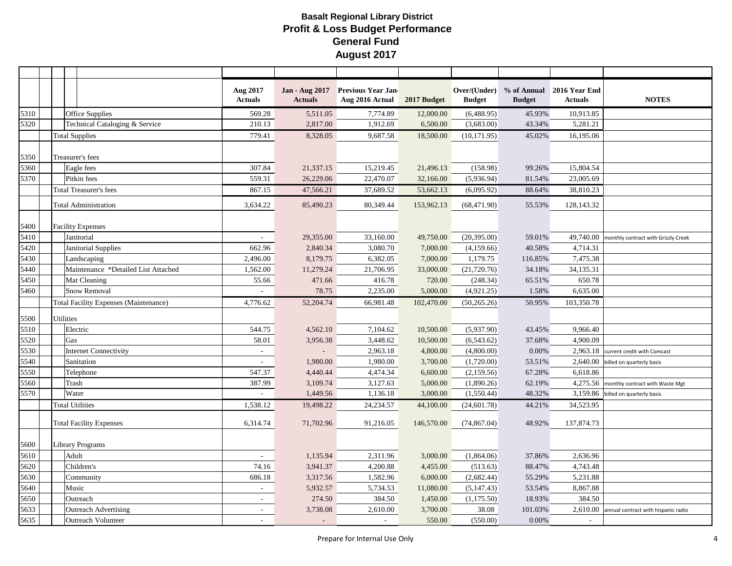|      |                  |                                              | Aug 2017<br><b>Actuals</b>  | <b>Jan - Aug 2017</b><br><b>Actuals</b> | <b>Previous Year Jan-</b><br>Aug 2016 Actual 2017 Budget |            | <b>Budget</b> | <b>Budget</b> | Over/(Under) % of Annual 2016 Year End<br><b>Actuals</b> | <b>NOTES</b>                                  |
|------|------------------|----------------------------------------------|-----------------------------|-----------------------------------------|----------------------------------------------------------|------------|---------------|---------------|----------------------------------------------------------|-----------------------------------------------|
| 5310 |                  | <b>Office Supplies</b>                       | 569.28                      | 5,511.05                                | 7,774.89                                                 | 12,000.00  | (6,488.95)    | 45.93%        | 10,913.85                                                |                                               |
| 5320 |                  | Technical Cataloging & Service               | 210.13                      | 2,817.00                                | 1,912.69                                                 | 6,500.00   | (3,683.00)    | 43.34%        | 5,281.21                                                 |                                               |
|      |                  | <b>Total Supplies</b>                        | 779.41                      | 8,328.05                                | 9,687.58                                                 | 18,500.00  | (10, 171.95)  | 45.02%        | 16,195.06                                                |                                               |
| 5350 |                  | Treasurer's fees                             |                             |                                         |                                                          |            |               |               |                                                          |                                               |
| 5360 |                  | Eagle fees                                   | 307.84                      | 21,337.15                               | 15,219.45                                                | 21,496.13  | (158.98)      | 99.26%        | 15,804.54                                                |                                               |
| 5370 |                  | Pitkin fees                                  | 559.31                      | 26,229.06                               | 22,470.07                                                | 32,166.00  | (5,936.94)    | 81.54%        | 23,005.69                                                |                                               |
|      |                  | <b>Total Treasurer's fees</b>                | 867.15                      | 47,566.21                               | 37,689.52                                                | 53,662.13  | (6,095.92)    | 88.64%        | 38,810.23                                                |                                               |
|      |                  | Total Administration                         | 3,634.22                    | 85,490.23                               | 80,349.44                                                | 153,962.13 | (68, 471.90)  | 55.53%        | 128,143.32                                               |                                               |
| 5400 |                  | <b>Facility Expenses</b>                     |                             |                                         |                                                          |            |               |               |                                                          |                                               |
| 5410 |                  | Janitorial                                   | $\mathcal{L}_{\mathcal{A}}$ | 29,355.00                               | 33,160.00                                                | 49,750.00  | (20, 395.00)  | 59.01%        |                                                          | 49,740.00 monthly contract with Grizzly Creek |
| 5420 |                  | Janitorial Supplies                          | 662.96                      | 2,840.34                                | 3,080.70                                                 | 7,000.00   | (4,159.66)    | 40.58%        | 4,714.31                                                 |                                               |
| 5430 |                  | Landscaping                                  | 2,496.00                    | 8,179.75                                | 6,382.05                                                 | 7,000.00   | 1,179.75      | 116.85%       | 7,475.38                                                 |                                               |
| 5440 |                  | Maintenance *Detailed List Attached          | 1,562.00                    | 11,279.24                               | 21,706.95                                                | 33,000.00  | (21,720.76)   | 34.18%        | 34,135.31                                                |                                               |
| 5450 |                  | Mat Cleaning                                 | 55.66                       | 471.66                                  | 416.78                                                   | 720.00     | (248.34)      | 65.51%        | 650.78                                                   |                                               |
| 5460 |                  | <b>Snow Removal</b>                          | ÷,                          | 78.75                                   | 2,235.00                                                 | 5,000.00   | (4,921.25)    | 1.58%         | 6,635.00                                                 |                                               |
|      |                  | <b>Total Facility Expenses (Maintenance)</b> | 4,776.62                    | 52,204.74                               | 66,981.48                                                | 102,470.00 | (50, 265.26)  | 50.95%        | 103,350.78                                               |                                               |
| 5500 | <b>Utilities</b> |                                              |                             |                                         |                                                          |            |               |               |                                                          |                                               |
| 5510 |                  | Electric                                     | 544.75                      | 4,562.10                                | 7,104.62                                                 | 10,500.00  | (5,937.90)    | 43.45%        | 9,966.40                                                 |                                               |
| 5520 | Gas              |                                              | 58.01                       | 3,956.38                                | 3,448.62                                                 | 10,500.00  | (6,543.62)    | 37.68%        | 4,900.09                                                 |                                               |
| 5530 |                  | Internet Connectivity                        | $\sim$                      |                                         | 2,963.18                                                 | 4,800.00   | (4,800.00)    | 0.00%         | 2,963.18                                                 | current credit with Comcast                   |
| 5540 |                  | Sanitation                                   |                             | 1,980.00                                | 1,980.00                                                 | 3,700.00   | (1,720.00)    | 53.51%        | 2,640.00                                                 | billed on quarterly basis                     |
| 5550 |                  | Telephone                                    | 547.37                      | 4,440.44                                | 4,474.34                                                 | 6,600.00   | (2,159.56)    | 67.28%        | 6,618.86                                                 |                                               |
| 5560 |                  | Trash                                        | 387.99                      | 3,109.74                                | 3,127.63                                                 | 5,000.00   | (1,890.26)    | 62.19%        | 4,275.56                                                 | monthly contract with Waste Mgt               |
| 5570 |                  | Water                                        |                             | 1,449.56                                | 1,136.18                                                 | 3,000.00   | (1,550.44)    | 48.32%        | 3,159.86                                                 | billed on quarterly basis                     |
|      |                  | <b>Total Utilities</b>                       | 1,538.12                    | 19,498.22                               | 24,234.57                                                | 44,100.00  | (24, 601.78)  | 44.21%        | 34,523.95                                                |                                               |
|      |                  | <b>Total Facility Expenses</b>               | 6,314.74                    | 71,702.96                               | 91,216.05                                                | 146,570.00 | (74, 867.04)  | 48.92%        | 137,874.73                                               |                                               |
| 5600 |                  | <b>Library Programs</b>                      |                             |                                         |                                                          |            |               |               |                                                          |                                               |
| 5610 |                  | Adult                                        | $\sim$                      | 1,135.94                                | 2,311.96                                                 | 3,000.00   | (1,864.06)    | 37.86%        | 2,636.96                                                 |                                               |
| 5620 |                  | Children's                                   | 74.16                       | 3,941.37                                | 4,200.88                                                 | 4,455.00   | (513.63)      | 88.47%        | 4,743.48                                                 |                                               |
| 5630 |                  | Community                                    | 686.18                      | 3,317.56                                | 1,582.96                                                 | 6,000.00   | (2,682.44)    | 55.29%        | 5,231.88                                                 |                                               |
| 5640 |                  | Music                                        | $\overline{a}$              | 5,932.57                                | 5,734.53                                                 | 11,080.00  | (5,147.43)    | 53.54%        | 8,867.88                                                 |                                               |
| 5650 |                  | Outreach                                     | $\overline{\phantom{a}}$    | 274.50                                  | 384.50                                                   | 1,450.00   | (1, 175.50)   | 18.93%        | 384.50                                                   |                                               |
| 5633 |                  | <b>Outreach Advertising</b>                  | $\overline{a}$              | 3,738.08                                | 2,610.00                                                 | 3,700.00   | 38.08         | 101.03%       | 2,610.00                                                 | annual contract with hispanic radio           |
| 5635 |                  | <b>Outreach Volunteer</b>                    |                             |                                         |                                                          | 550.00     | (550.00)      | 0.00%         |                                                          |                                               |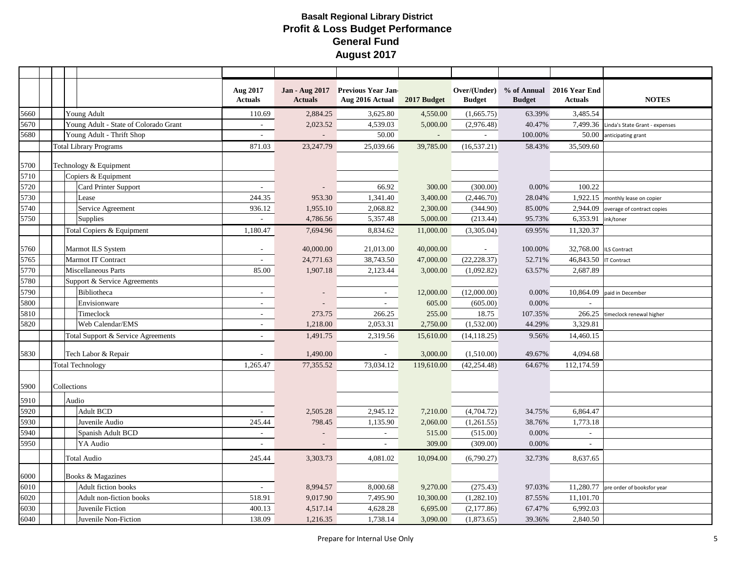|      |                                       | Aug 2017<br><b>Actuals</b> | Jan - Aug 2017<br><b>Actuals</b> | <b>Previous Year Jan-</b><br>Aug 2016 Actual | 2017 Budget | Over/(Under)<br><b>Budget</b> | <b>Budget</b> | % of Annual 2016 Year End<br><b>Actuals</b> | <b>NOTES</b>                            |
|------|---------------------------------------|----------------------------|----------------------------------|----------------------------------------------|-------------|-------------------------------|---------------|---------------------------------------------|-----------------------------------------|
| 5660 | Young Adult                           | 110.69                     | 2,884.25                         | 3,625.80                                     | 4,550.00    | (1,665.75)                    | 63.39%        | 3,485.54                                    |                                         |
| 5670 | Young Adult - State of Colorado Grant | $\sim$                     | 2,023.52                         | 4,539.03                                     | 5,000.00    | (2,976.48)                    | 40.47%        |                                             | 7,499.36 Linda's State Grant - expenses |
| 5680 | Young Adult - Thrift Shop             |                            |                                  | 50.00                                        |             |                               | 100.00%       | 50.00                                       | anticipating grant                      |
|      | <b>Total Library Programs</b>         | 871.03                     | 23,247.79                        | 25,039.66                                    | 39,785.00   | (16, 537.21)                  | 58.43%        | 35,509.60                                   |                                         |
| 5700 | Technology & Equipment                |                            |                                  |                                              |             |                               |               |                                             |                                         |
| 5710 | Copiers & Equipment                   |                            |                                  |                                              |             |                               |               |                                             |                                         |
| 5720 | Card Printer Support                  | ÷.                         |                                  | 66.92                                        | 300.00      | (300.00)                      | 0.00%         | 100.22                                      |                                         |
| 5730 | Lease                                 | 244.35                     | 953.30                           | 1,341.40                                     | 3,400.00    | (2,446.70)                    | 28.04%        |                                             | 1,922.15 monthly lease on copier        |
| 5740 | Service Agreement                     | 936.12                     | 1,955.10                         | 2,068.82                                     | 2,300.00    | (344.90)                      | 85.00%        | 2,944.09                                    | overage of contract copies              |
| 5750 | <b>Supplies</b>                       |                            | 4,786.56                         | 5,357.48                                     | 5,000.00    | (213.44)                      | 95.73%        | 6,353.91                                    | ink/toner                               |
|      | Total Copiers & Equipment             | 1,180.47                   | 7,694.96                         | 8,834.62                                     | 11,000.00   | (3,305.04)                    | 69.95%        | $11,320.\overline{37}$                      |                                         |
| 5760 | Marmot ILS System                     | $\sim$                     | 40,000.00                        | 21,013.00                                    | 40,000.00   | $\sim$                        | 100.00%       | 32,768.00                                   | <b>ILS Contract</b>                     |
| 5765 | Marmot IT Contract                    | $\sim$                     | 24,771.63                        | 38,743.50                                    | 47,000.00   | (22, 228.37)                  | 52.71%        | 46,843.50                                   | <b>IT Contract</b>                      |
| 5770 | Miscellaneous Parts                   | 85.00                      | 1,907.18                         | 2,123.44                                     | 3,000.00    | (1,092.82)                    | 63.57%        | 2,687.89                                    |                                         |
| 5780 | Support & Service Agreements          |                            |                                  |                                              |             |                               |               |                                             |                                         |
| 5790 | Bibliotheca                           | $\mathbf{r}$               |                                  | $\sim$                                       | 12,000.00   | (12,000.00)                   | 0.00%         | 10,864.09                                   | paid in December                        |
| 5800 | Envisionware                          | $\sim$                     |                                  | $\sim$                                       | 605.00      | (605.00)                      | 0.00%         | $\sim$                                      |                                         |
| 5810 | Timeclock                             | ÷.                         | 273.75                           | 266.25                                       | 255.00      | 18.75                         | 107.35%       | 266.25                                      | timeclock renewal higher                |
| 5820 | Web Calendar/EMS                      | ÷.                         | 1,218.00                         | 2,053.31                                     | 2,750.00    | (1,532.00)                    | 44.29%        | 3,329.81                                    |                                         |
|      | Total Support & Service Agreements    | $\sim$                     | 1,491.75                         | 2,319.56                                     | 15,610.00   | (14, 118.25)                  | 9.56%         | 14,460.15                                   |                                         |
| 5830 | Tech Labor & Repair                   |                            | 1,490.00                         | $\sim$                                       | 3,000.00    | (1,510.00)                    | 49.67%        | 4,094.68                                    |                                         |
|      | <b>Total Technology</b>               | 1,265.47                   | 77,355.52                        | 73,034.12                                    | 119,610.00  | (42, 254.48)                  | 64.67%        | 112,174.59                                  |                                         |
| 5900 | Collections                           |                            |                                  |                                              |             |                               |               |                                             |                                         |
| 5910 | Audio                                 |                            |                                  |                                              |             |                               |               |                                             |                                         |
| 5920 | <b>Adult BCD</b>                      | $\sim$                     | 2,505.28                         | 2,945.12                                     | 7,210.00    | (4,704.72)                    | 34.75%        | 6,864.47                                    |                                         |
| 5930 | Juvenile Audio                        | 245.44                     | 798.45                           | 1,135.90                                     | 2,060.00    | (1,261.55)                    | 38.76%        | 1,773.18                                    |                                         |
| 5940 | Spanish Adult BCD                     | $\overline{\phantom{a}}$   |                                  | $\sim$                                       | 515.00      | (515.00)                      | 0.00%         | $\sim$                                      |                                         |
| 5950 | YA Audio                              |                            |                                  |                                              | 309.00      | (309.00)                      | 0.00%         | $\sim$                                      |                                         |
|      | <b>Total Audio</b>                    | 245.44                     | 3,303.73                         | 4,081.02                                     | 10,094.00   | (6,790.27)                    | 32.73%        | 8,637.65                                    |                                         |
| 6000 | Books & Magazines                     |                            |                                  |                                              |             |                               |               |                                             |                                         |
| 6010 | Adult fiction books                   | $\mathbf{r}$               | 8,994.57                         | 8,000.68                                     | 9,270.00    | (275.43)                      | 97.03%        |                                             | 11,280.77 pre order of booksfor year    |
| 6020 | Adult non-fiction books               | 518.91                     | 9,017.90                         | 7,495.90                                     | 10,300.00   | (1,282.10)                    | 87.55%        | 11,101.70                                   |                                         |
| 6030 | Juvenile Fiction                      | 400.13                     | 4,517.14                         | 4,628.28                                     | 6,695.00    | (2,177.86)                    | 67.47%        | 6,992.03                                    |                                         |
| 6040 | Juvenile Non-Fiction                  | 138.09                     | 1,216.35                         | 1,738.14                                     | 3,090.00    | (1,873.65)                    | 39.36%        | 2,840.50                                    |                                         |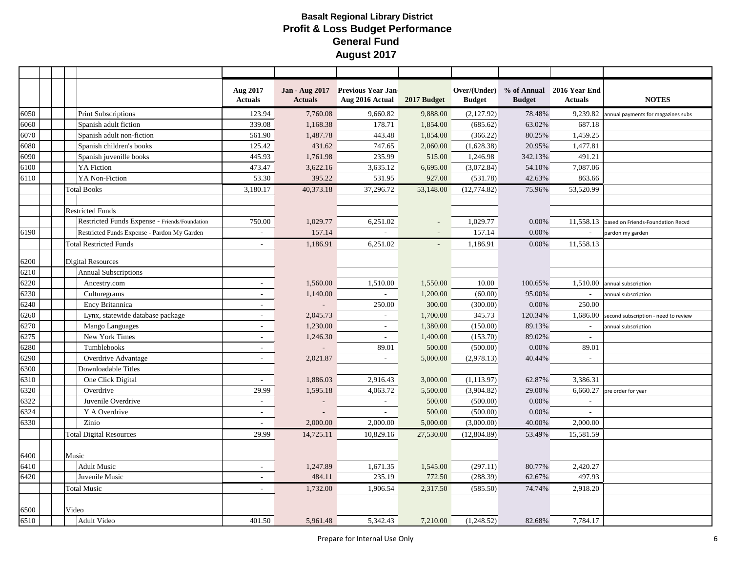| % of Annual 2016 Year End<br>Aug 2017<br>Jan - Aug 2017<br><b>Previous Year Jan-</b><br>Over/(Under)<br><b>NOTES</b><br><b>Actuals</b><br>Aug 2016 Actual<br>2017 Budget<br><b>Budget</b><br><b>Actuals</b><br><b>Actuals</b><br><b>Budget</b><br><b>Print Subscriptions</b><br>7,760.08<br>123.94<br>9,660.82<br>9,888.00<br>(2,127.92)<br>78.48%<br>9,239.82 annual payments for magazines subs<br>339.08<br>1,168.38<br>178.71<br>1,854.00<br>(685.62)<br>63.02%<br>687.18<br>6060<br>Spanish adult fiction<br>6070<br>Spanish adult non-fiction<br>561.90<br>1,487.78<br>443.48<br>1,854.00<br>(366.22)<br>1,459.25<br>80.25%<br>Spanish children's books<br>125.42<br>431.62<br>747.65<br>2,060.00<br>(1,628.38)<br>20.95%<br>1,477.81<br>6080<br>445.93<br>235.99<br>491.21<br>6090<br>Spanish juvenille books<br>1,761.98<br>515.00<br>1,246.98<br>342.13%<br>YA Fiction<br>473.47<br>7,087.06<br>6100<br>3,622.16<br>3,635.12<br>6,695.00<br>(3,072.84)<br>54.10%<br>53.30<br>531.95<br>863.66<br>YA Non-Fiction<br>395.22<br>927.00<br>(531.78)<br>42.63%<br>3,180.17<br>40,373.18<br>37,296.72<br>53,148.00<br>(12, 774.82)<br>75.96%<br>53,520.99<br><b>Total Books</b><br><b>Restricted Funds</b><br>Restricted Funds Expense - Friends/Foundation<br>750.00<br>1,029.77<br>6,251.02<br>1,029.77<br>$0.00\%$<br>11,558.13 based on Friends-Foundation Recvd<br>157.14<br>157.14<br>0.00%<br>Restricted Funds Expense - Pardon My Garden<br>pardon my garden<br>$\sim$<br>1,186.91<br>6,251.02<br>1,186.91<br>0.00%<br>11,558.13<br><b>Total Restricted Funds</b><br>$\overline{\phantom{a}}$<br>6200<br>Digital Resources<br><b>Annual Subscriptions</b><br>6210<br>1,510.00<br>1,550.00<br>10.00<br>1,510.00 annual subscription<br>6220<br>Ancestry.com<br>1,560.00<br>100.65%<br>÷,<br>6230<br>1,140.00<br>1,200.00<br>(60.00)<br>95.00%<br>Culturegrams<br>annual subscription<br>$\sim$<br>$\sim$<br>$\overline{\phantom{a}}$<br>250.00<br>250.00<br>300.00<br>6240<br>Ency Britannica<br>(300.00)<br>0.00%<br>$\sim$<br>$\overline{a}$<br>6260<br>Lynx, statewide database package<br>2,045.73<br>1,700.00<br>345.73<br>120.34%<br>$1,686.00$ second subscription - need to review<br>$\overline{\phantom{a}}$<br>$\sim$<br>6270<br>1,230.00<br>Mango Languages<br>1,380.00<br>(150.00)<br>89.13%<br>$\sim$<br>annual subscription<br>$\sim$<br>6275<br>New York Times<br>1,246.30<br>1,400.00<br>(153.70)<br>89.02%<br>٠<br>6280<br>Tumblebooks<br>89.01<br>500.00<br>(500.00)<br>0.00%<br>89.01<br>$\sim$<br>6290<br>Overdrive Advantage<br>2,021.87<br>5,000.00<br>(2,978.13)<br>40.44%<br>$\sim$<br>$\sim$<br>٠<br>6300<br>Downloadable Titles<br>6310<br>(1, 113.97)<br>3,386.31<br>One Click Digital<br>1,886.03<br>2,916.43<br>3,000.00<br>62.87%<br>$\sim$<br>1,595.18<br>5,500.00<br>6320<br>Overdrive<br>29.99<br>4,063.72<br>(3,904.82)<br>29.00%<br>$6,660.27$ pre order for year<br>Juvenile Overdrive<br>500.00<br>(500.00)<br>0.00%<br>$\sim$<br>$\sim$<br>$\sim$<br>6324<br>Y A Overdrive<br>500.00<br>(500.00)<br>0.00%<br>$\sim$<br>$\sim$<br>$\sim$<br>6330<br>2,000.00<br>Zinio<br>2,000.00<br>5,000.00<br>(3,000.00)<br>40.00%<br>2,000.00<br><b>Total Digital Resources</b><br>29.99<br>14,725.11<br>10,829.16<br>27,530.00<br>(12,804.89)<br>53.49%<br>15,581.59<br>Music<br><b>Adult Music</b><br>1,247.89<br>1,671.35<br>1,545.00<br>(297.11)<br>80.77%<br>2,420.27<br>$\sim$<br>235.19<br>772.50<br>497.93<br>Juvenile Music<br>484.11<br>(288.39)<br>62.67%<br>÷,<br>1,732.00<br>2,317.50<br>74.74%<br>2,918.20<br><b>Total Music</b><br>1,906.54<br>(585.50)<br>$\sim$<br>Video<br>6500 |      |  |  |             |        |          |          |          |            |        |          |  |
|---------------------------------------------------------------------------------------------------------------------------------------------------------------------------------------------------------------------------------------------------------------------------------------------------------------------------------------------------------------------------------------------------------------------------------------------------------------------------------------------------------------------------------------------------------------------------------------------------------------------------------------------------------------------------------------------------------------------------------------------------------------------------------------------------------------------------------------------------------------------------------------------------------------------------------------------------------------------------------------------------------------------------------------------------------------------------------------------------------------------------------------------------------------------------------------------------------------------------------------------------------------------------------------------------------------------------------------------------------------------------------------------------------------------------------------------------------------------------------------------------------------------------------------------------------------------------------------------------------------------------------------------------------------------------------------------------------------------------------------------------------------------------------------------------------------------------------------------------------------------------------------------------------------------------------------------------------------------------------------------------------------------------------------------------------------------------------------------------------------------------------------------------------------------------------------------------------------------------------------------------------------------------------------------------------------------------------------------------------------------------------------------------------------------------------------------------------------------------------------------------------------------------------------------------------------------------------------------------------------------------------------------------------------------------------------------------------------------------------------------------------------------------------------------------------------------------------------------------------------------------------------------------------------------------------------------------------------------------------------------------------------------------------------------------------------------------------------------------------------------------------------------------------------------------------------------------------------------------------------------------------------------------------------------------------------------------------------------------------------------------------------------------------------------------------------------------------------------------------------------------------------------------------------------------------------------------------------------------------------------------------------|------|--|--|-------------|--------|----------|----------|----------|------------|--------|----------|--|
|                                                                                                                                                                                                                                                                                                                                                                                                                                                                                                                                                                                                                                                                                                                                                                                                                                                                                                                                                                                                                                                                                                                                                                                                                                                                                                                                                                                                                                                                                                                                                                                                                                                                                                                                                                                                                                                                                                                                                                                                                                                                                                                                                                                                                                                                                                                                                                                                                                                                                                                                                                                                                                                                                                                                                                                                                                                                                                                                                                                                                                                                                                                                                                                                                                                                                                                                                                                                                                                                                                                                                                                                                                       |      |  |  |             |        |          |          |          |            |        |          |  |
|                                                                                                                                                                                                                                                                                                                                                                                                                                                                                                                                                                                                                                                                                                                                                                                                                                                                                                                                                                                                                                                                                                                                                                                                                                                                                                                                                                                                                                                                                                                                                                                                                                                                                                                                                                                                                                                                                                                                                                                                                                                                                                                                                                                                                                                                                                                                                                                                                                                                                                                                                                                                                                                                                                                                                                                                                                                                                                                                                                                                                                                                                                                                                                                                                                                                                                                                                                                                                                                                                                                                                                                                                                       | 6050 |  |  |             |        |          |          |          |            |        |          |  |
|                                                                                                                                                                                                                                                                                                                                                                                                                                                                                                                                                                                                                                                                                                                                                                                                                                                                                                                                                                                                                                                                                                                                                                                                                                                                                                                                                                                                                                                                                                                                                                                                                                                                                                                                                                                                                                                                                                                                                                                                                                                                                                                                                                                                                                                                                                                                                                                                                                                                                                                                                                                                                                                                                                                                                                                                                                                                                                                                                                                                                                                                                                                                                                                                                                                                                                                                                                                                                                                                                                                                                                                                                                       |      |  |  |             |        |          |          |          |            |        |          |  |
|                                                                                                                                                                                                                                                                                                                                                                                                                                                                                                                                                                                                                                                                                                                                                                                                                                                                                                                                                                                                                                                                                                                                                                                                                                                                                                                                                                                                                                                                                                                                                                                                                                                                                                                                                                                                                                                                                                                                                                                                                                                                                                                                                                                                                                                                                                                                                                                                                                                                                                                                                                                                                                                                                                                                                                                                                                                                                                                                                                                                                                                                                                                                                                                                                                                                                                                                                                                                                                                                                                                                                                                                                                       |      |  |  |             |        |          |          |          |            |        |          |  |
|                                                                                                                                                                                                                                                                                                                                                                                                                                                                                                                                                                                                                                                                                                                                                                                                                                                                                                                                                                                                                                                                                                                                                                                                                                                                                                                                                                                                                                                                                                                                                                                                                                                                                                                                                                                                                                                                                                                                                                                                                                                                                                                                                                                                                                                                                                                                                                                                                                                                                                                                                                                                                                                                                                                                                                                                                                                                                                                                                                                                                                                                                                                                                                                                                                                                                                                                                                                                                                                                                                                                                                                                                                       |      |  |  |             |        |          |          |          |            |        |          |  |
|                                                                                                                                                                                                                                                                                                                                                                                                                                                                                                                                                                                                                                                                                                                                                                                                                                                                                                                                                                                                                                                                                                                                                                                                                                                                                                                                                                                                                                                                                                                                                                                                                                                                                                                                                                                                                                                                                                                                                                                                                                                                                                                                                                                                                                                                                                                                                                                                                                                                                                                                                                                                                                                                                                                                                                                                                                                                                                                                                                                                                                                                                                                                                                                                                                                                                                                                                                                                                                                                                                                                                                                                                                       |      |  |  |             |        |          |          |          |            |        |          |  |
|                                                                                                                                                                                                                                                                                                                                                                                                                                                                                                                                                                                                                                                                                                                                                                                                                                                                                                                                                                                                                                                                                                                                                                                                                                                                                                                                                                                                                                                                                                                                                                                                                                                                                                                                                                                                                                                                                                                                                                                                                                                                                                                                                                                                                                                                                                                                                                                                                                                                                                                                                                                                                                                                                                                                                                                                                                                                                                                                                                                                                                                                                                                                                                                                                                                                                                                                                                                                                                                                                                                                                                                                                                       |      |  |  |             |        |          |          |          |            |        |          |  |
|                                                                                                                                                                                                                                                                                                                                                                                                                                                                                                                                                                                                                                                                                                                                                                                                                                                                                                                                                                                                                                                                                                                                                                                                                                                                                                                                                                                                                                                                                                                                                                                                                                                                                                                                                                                                                                                                                                                                                                                                                                                                                                                                                                                                                                                                                                                                                                                                                                                                                                                                                                                                                                                                                                                                                                                                                                                                                                                                                                                                                                                                                                                                                                                                                                                                                                                                                                                                                                                                                                                                                                                                                                       | 6110 |  |  |             |        |          |          |          |            |        |          |  |
|                                                                                                                                                                                                                                                                                                                                                                                                                                                                                                                                                                                                                                                                                                                                                                                                                                                                                                                                                                                                                                                                                                                                                                                                                                                                                                                                                                                                                                                                                                                                                                                                                                                                                                                                                                                                                                                                                                                                                                                                                                                                                                                                                                                                                                                                                                                                                                                                                                                                                                                                                                                                                                                                                                                                                                                                                                                                                                                                                                                                                                                                                                                                                                                                                                                                                                                                                                                                                                                                                                                                                                                                                                       |      |  |  |             |        |          |          |          |            |        |          |  |
|                                                                                                                                                                                                                                                                                                                                                                                                                                                                                                                                                                                                                                                                                                                                                                                                                                                                                                                                                                                                                                                                                                                                                                                                                                                                                                                                                                                                                                                                                                                                                                                                                                                                                                                                                                                                                                                                                                                                                                                                                                                                                                                                                                                                                                                                                                                                                                                                                                                                                                                                                                                                                                                                                                                                                                                                                                                                                                                                                                                                                                                                                                                                                                                                                                                                                                                                                                                                                                                                                                                                                                                                                                       |      |  |  |             |        |          |          |          |            |        |          |  |
|                                                                                                                                                                                                                                                                                                                                                                                                                                                                                                                                                                                                                                                                                                                                                                                                                                                                                                                                                                                                                                                                                                                                                                                                                                                                                                                                                                                                                                                                                                                                                                                                                                                                                                                                                                                                                                                                                                                                                                                                                                                                                                                                                                                                                                                                                                                                                                                                                                                                                                                                                                                                                                                                                                                                                                                                                                                                                                                                                                                                                                                                                                                                                                                                                                                                                                                                                                                                                                                                                                                                                                                                                                       |      |  |  |             |        |          |          |          |            |        |          |  |
|                                                                                                                                                                                                                                                                                                                                                                                                                                                                                                                                                                                                                                                                                                                                                                                                                                                                                                                                                                                                                                                                                                                                                                                                                                                                                                                                                                                                                                                                                                                                                                                                                                                                                                                                                                                                                                                                                                                                                                                                                                                                                                                                                                                                                                                                                                                                                                                                                                                                                                                                                                                                                                                                                                                                                                                                                                                                                                                                                                                                                                                                                                                                                                                                                                                                                                                                                                                                                                                                                                                                                                                                                                       |      |  |  |             |        |          |          |          |            |        |          |  |
|                                                                                                                                                                                                                                                                                                                                                                                                                                                                                                                                                                                                                                                                                                                                                                                                                                                                                                                                                                                                                                                                                                                                                                                                                                                                                                                                                                                                                                                                                                                                                                                                                                                                                                                                                                                                                                                                                                                                                                                                                                                                                                                                                                                                                                                                                                                                                                                                                                                                                                                                                                                                                                                                                                                                                                                                                                                                                                                                                                                                                                                                                                                                                                                                                                                                                                                                                                                                                                                                                                                                                                                                                                       | 6190 |  |  |             |        |          |          |          |            |        |          |  |
|                                                                                                                                                                                                                                                                                                                                                                                                                                                                                                                                                                                                                                                                                                                                                                                                                                                                                                                                                                                                                                                                                                                                                                                                                                                                                                                                                                                                                                                                                                                                                                                                                                                                                                                                                                                                                                                                                                                                                                                                                                                                                                                                                                                                                                                                                                                                                                                                                                                                                                                                                                                                                                                                                                                                                                                                                                                                                                                                                                                                                                                                                                                                                                                                                                                                                                                                                                                                                                                                                                                                                                                                                                       |      |  |  |             |        |          |          |          |            |        |          |  |
|                                                                                                                                                                                                                                                                                                                                                                                                                                                                                                                                                                                                                                                                                                                                                                                                                                                                                                                                                                                                                                                                                                                                                                                                                                                                                                                                                                                                                                                                                                                                                                                                                                                                                                                                                                                                                                                                                                                                                                                                                                                                                                                                                                                                                                                                                                                                                                                                                                                                                                                                                                                                                                                                                                                                                                                                                                                                                                                                                                                                                                                                                                                                                                                                                                                                                                                                                                                                                                                                                                                                                                                                                                       |      |  |  |             |        |          |          |          |            |        |          |  |
|                                                                                                                                                                                                                                                                                                                                                                                                                                                                                                                                                                                                                                                                                                                                                                                                                                                                                                                                                                                                                                                                                                                                                                                                                                                                                                                                                                                                                                                                                                                                                                                                                                                                                                                                                                                                                                                                                                                                                                                                                                                                                                                                                                                                                                                                                                                                                                                                                                                                                                                                                                                                                                                                                                                                                                                                                                                                                                                                                                                                                                                                                                                                                                                                                                                                                                                                                                                                                                                                                                                                                                                                                                       |      |  |  |             |        |          |          |          |            |        |          |  |
|                                                                                                                                                                                                                                                                                                                                                                                                                                                                                                                                                                                                                                                                                                                                                                                                                                                                                                                                                                                                                                                                                                                                                                                                                                                                                                                                                                                                                                                                                                                                                                                                                                                                                                                                                                                                                                                                                                                                                                                                                                                                                                                                                                                                                                                                                                                                                                                                                                                                                                                                                                                                                                                                                                                                                                                                                                                                                                                                                                                                                                                                                                                                                                                                                                                                                                                                                                                                                                                                                                                                                                                                                                       |      |  |  |             |        |          |          |          |            |        |          |  |
|                                                                                                                                                                                                                                                                                                                                                                                                                                                                                                                                                                                                                                                                                                                                                                                                                                                                                                                                                                                                                                                                                                                                                                                                                                                                                                                                                                                                                                                                                                                                                                                                                                                                                                                                                                                                                                                                                                                                                                                                                                                                                                                                                                                                                                                                                                                                                                                                                                                                                                                                                                                                                                                                                                                                                                                                                                                                                                                                                                                                                                                                                                                                                                                                                                                                                                                                                                                                                                                                                                                                                                                                                                       |      |  |  |             |        |          |          |          |            |        |          |  |
|                                                                                                                                                                                                                                                                                                                                                                                                                                                                                                                                                                                                                                                                                                                                                                                                                                                                                                                                                                                                                                                                                                                                                                                                                                                                                                                                                                                                                                                                                                                                                                                                                                                                                                                                                                                                                                                                                                                                                                                                                                                                                                                                                                                                                                                                                                                                                                                                                                                                                                                                                                                                                                                                                                                                                                                                                                                                                                                                                                                                                                                                                                                                                                                                                                                                                                                                                                                                                                                                                                                                                                                                                                       |      |  |  |             |        |          |          |          |            |        |          |  |
|                                                                                                                                                                                                                                                                                                                                                                                                                                                                                                                                                                                                                                                                                                                                                                                                                                                                                                                                                                                                                                                                                                                                                                                                                                                                                                                                                                                                                                                                                                                                                                                                                                                                                                                                                                                                                                                                                                                                                                                                                                                                                                                                                                                                                                                                                                                                                                                                                                                                                                                                                                                                                                                                                                                                                                                                                                                                                                                                                                                                                                                                                                                                                                                                                                                                                                                                                                                                                                                                                                                                                                                                                                       |      |  |  |             |        |          |          |          |            |        |          |  |
|                                                                                                                                                                                                                                                                                                                                                                                                                                                                                                                                                                                                                                                                                                                                                                                                                                                                                                                                                                                                                                                                                                                                                                                                                                                                                                                                                                                                                                                                                                                                                                                                                                                                                                                                                                                                                                                                                                                                                                                                                                                                                                                                                                                                                                                                                                                                                                                                                                                                                                                                                                                                                                                                                                                                                                                                                                                                                                                                                                                                                                                                                                                                                                                                                                                                                                                                                                                                                                                                                                                                                                                                                                       |      |  |  |             |        |          |          |          |            |        |          |  |
|                                                                                                                                                                                                                                                                                                                                                                                                                                                                                                                                                                                                                                                                                                                                                                                                                                                                                                                                                                                                                                                                                                                                                                                                                                                                                                                                                                                                                                                                                                                                                                                                                                                                                                                                                                                                                                                                                                                                                                                                                                                                                                                                                                                                                                                                                                                                                                                                                                                                                                                                                                                                                                                                                                                                                                                                                                                                                                                                                                                                                                                                                                                                                                                                                                                                                                                                                                                                                                                                                                                                                                                                                                       |      |  |  |             |        |          |          |          |            |        |          |  |
|                                                                                                                                                                                                                                                                                                                                                                                                                                                                                                                                                                                                                                                                                                                                                                                                                                                                                                                                                                                                                                                                                                                                                                                                                                                                                                                                                                                                                                                                                                                                                                                                                                                                                                                                                                                                                                                                                                                                                                                                                                                                                                                                                                                                                                                                                                                                                                                                                                                                                                                                                                                                                                                                                                                                                                                                                                                                                                                                                                                                                                                                                                                                                                                                                                                                                                                                                                                                                                                                                                                                                                                                                                       |      |  |  |             |        |          |          |          |            |        |          |  |
|                                                                                                                                                                                                                                                                                                                                                                                                                                                                                                                                                                                                                                                                                                                                                                                                                                                                                                                                                                                                                                                                                                                                                                                                                                                                                                                                                                                                                                                                                                                                                                                                                                                                                                                                                                                                                                                                                                                                                                                                                                                                                                                                                                                                                                                                                                                                                                                                                                                                                                                                                                                                                                                                                                                                                                                                                                                                                                                                                                                                                                                                                                                                                                                                                                                                                                                                                                                                                                                                                                                                                                                                                                       |      |  |  |             |        |          |          |          |            |        |          |  |
|                                                                                                                                                                                                                                                                                                                                                                                                                                                                                                                                                                                                                                                                                                                                                                                                                                                                                                                                                                                                                                                                                                                                                                                                                                                                                                                                                                                                                                                                                                                                                                                                                                                                                                                                                                                                                                                                                                                                                                                                                                                                                                                                                                                                                                                                                                                                                                                                                                                                                                                                                                                                                                                                                                                                                                                                                                                                                                                                                                                                                                                                                                                                                                                                                                                                                                                                                                                                                                                                                                                                                                                                                                       |      |  |  |             |        |          |          |          |            |        |          |  |
|                                                                                                                                                                                                                                                                                                                                                                                                                                                                                                                                                                                                                                                                                                                                                                                                                                                                                                                                                                                                                                                                                                                                                                                                                                                                                                                                                                                                                                                                                                                                                                                                                                                                                                                                                                                                                                                                                                                                                                                                                                                                                                                                                                                                                                                                                                                                                                                                                                                                                                                                                                                                                                                                                                                                                                                                                                                                                                                                                                                                                                                                                                                                                                                                                                                                                                                                                                                                                                                                                                                                                                                                                                       |      |  |  |             |        |          |          |          |            |        |          |  |
|                                                                                                                                                                                                                                                                                                                                                                                                                                                                                                                                                                                                                                                                                                                                                                                                                                                                                                                                                                                                                                                                                                                                                                                                                                                                                                                                                                                                                                                                                                                                                                                                                                                                                                                                                                                                                                                                                                                                                                                                                                                                                                                                                                                                                                                                                                                                                                                                                                                                                                                                                                                                                                                                                                                                                                                                                                                                                                                                                                                                                                                                                                                                                                                                                                                                                                                                                                                                                                                                                                                                                                                                                                       |      |  |  |             |        |          |          |          |            |        |          |  |
|                                                                                                                                                                                                                                                                                                                                                                                                                                                                                                                                                                                                                                                                                                                                                                                                                                                                                                                                                                                                                                                                                                                                                                                                                                                                                                                                                                                                                                                                                                                                                                                                                                                                                                                                                                                                                                                                                                                                                                                                                                                                                                                                                                                                                                                                                                                                                                                                                                                                                                                                                                                                                                                                                                                                                                                                                                                                                                                                                                                                                                                                                                                                                                                                                                                                                                                                                                                                                                                                                                                                                                                                                                       | 6322 |  |  |             |        |          |          |          |            |        |          |  |
|                                                                                                                                                                                                                                                                                                                                                                                                                                                                                                                                                                                                                                                                                                                                                                                                                                                                                                                                                                                                                                                                                                                                                                                                                                                                                                                                                                                                                                                                                                                                                                                                                                                                                                                                                                                                                                                                                                                                                                                                                                                                                                                                                                                                                                                                                                                                                                                                                                                                                                                                                                                                                                                                                                                                                                                                                                                                                                                                                                                                                                                                                                                                                                                                                                                                                                                                                                                                                                                                                                                                                                                                                                       |      |  |  |             |        |          |          |          |            |        |          |  |
|                                                                                                                                                                                                                                                                                                                                                                                                                                                                                                                                                                                                                                                                                                                                                                                                                                                                                                                                                                                                                                                                                                                                                                                                                                                                                                                                                                                                                                                                                                                                                                                                                                                                                                                                                                                                                                                                                                                                                                                                                                                                                                                                                                                                                                                                                                                                                                                                                                                                                                                                                                                                                                                                                                                                                                                                                                                                                                                                                                                                                                                                                                                                                                                                                                                                                                                                                                                                                                                                                                                                                                                                                                       |      |  |  |             |        |          |          |          |            |        |          |  |
|                                                                                                                                                                                                                                                                                                                                                                                                                                                                                                                                                                                                                                                                                                                                                                                                                                                                                                                                                                                                                                                                                                                                                                                                                                                                                                                                                                                                                                                                                                                                                                                                                                                                                                                                                                                                                                                                                                                                                                                                                                                                                                                                                                                                                                                                                                                                                                                                                                                                                                                                                                                                                                                                                                                                                                                                                                                                                                                                                                                                                                                                                                                                                                                                                                                                                                                                                                                                                                                                                                                                                                                                                                       |      |  |  |             |        |          |          |          |            |        |          |  |
|                                                                                                                                                                                                                                                                                                                                                                                                                                                                                                                                                                                                                                                                                                                                                                                                                                                                                                                                                                                                                                                                                                                                                                                                                                                                                                                                                                                                                                                                                                                                                                                                                                                                                                                                                                                                                                                                                                                                                                                                                                                                                                                                                                                                                                                                                                                                                                                                                                                                                                                                                                                                                                                                                                                                                                                                                                                                                                                                                                                                                                                                                                                                                                                                                                                                                                                                                                                                                                                                                                                                                                                                                                       |      |  |  |             |        |          |          |          |            |        |          |  |
|                                                                                                                                                                                                                                                                                                                                                                                                                                                                                                                                                                                                                                                                                                                                                                                                                                                                                                                                                                                                                                                                                                                                                                                                                                                                                                                                                                                                                                                                                                                                                                                                                                                                                                                                                                                                                                                                                                                                                                                                                                                                                                                                                                                                                                                                                                                                                                                                                                                                                                                                                                                                                                                                                                                                                                                                                                                                                                                                                                                                                                                                                                                                                                                                                                                                                                                                                                                                                                                                                                                                                                                                                                       | 6400 |  |  |             |        |          |          |          |            |        |          |  |
|                                                                                                                                                                                                                                                                                                                                                                                                                                                                                                                                                                                                                                                                                                                                                                                                                                                                                                                                                                                                                                                                                                                                                                                                                                                                                                                                                                                                                                                                                                                                                                                                                                                                                                                                                                                                                                                                                                                                                                                                                                                                                                                                                                                                                                                                                                                                                                                                                                                                                                                                                                                                                                                                                                                                                                                                                                                                                                                                                                                                                                                                                                                                                                                                                                                                                                                                                                                                                                                                                                                                                                                                                                       | 6410 |  |  |             |        |          |          |          |            |        |          |  |
|                                                                                                                                                                                                                                                                                                                                                                                                                                                                                                                                                                                                                                                                                                                                                                                                                                                                                                                                                                                                                                                                                                                                                                                                                                                                                                                                                                                                                                                                                                                                                                                                                                                                                                                                                                                                                                                                                                                                                                                                                                                                                                                                                                                                                                                                                                                                                                                                                                                                                                                                                                                                                                                                                                                                                                                                                                                                                                                                                                                                                                                                                                                                                                                                                                                                                                                                                                                                                                                                                                                                                                                                                                       | 6420 |  |  |             |        |          |          |          |            |        |          |  |
|                                                                                                                                                                                                                                                                                                                                                                                                                                                                                                                                                                                                                                                                                                                                                                                                                                                                                                                                                                                                                                                                                                                                                                                                                                                                                                                                                                                                                                                                                                                                                                                                                                                                                                                                                                                                                                                                                                                                                                                                                                                                                                                                                                                                                                                                                                                                                                                                                                                                                                                                                                                                                                                                                                                                                                                                                                                                                                                                                                                                                                                                                                                                                                                                                                                                                                                                                                                                                                                                                                                                                                                                                                       |      |  |  |             |        |          |          |          |            |        |          |  |
|                                                                                                                                                                                                                                                                                                                                                                                                                                                                                                                                                                                                                                                                                                                                                                                                                                                                                                                                                                                                                                                                                                                                                                                                                                                                                                                                                                                                                                                                                                                                                                                                                                                                                                                                                                                                                                                                                                                                                                                                                                                                                                                                                                                                                                                                                                                                                                                                                                                                                                                                                                                                                                                                                                                                                                                                                                                                                                                                                                                                                                                                                                                                                                                                                                                                                                                                                                                                                                                                                                                                                                                                                                       |      |  |  |             |        |          |          |          |            |        |          |  |
|                                                                                                                                                                                                                                                                                                                                                                                                                                                                                                                                                                                                                                                                                                                                                                                                                                                                                                                                                                                                                                                                                                                                                                                                                                                                                                                                                                                                                                                                                                                                                                                                                                                                                                                                                                                                                                                                                                                                                                                                                                                                                                                                                                                                                                                                                                                                                                                                                                                                                                                                                                                                                                                                                                                                                                                                                                                                                                                                                                                                                                                                                                                                                                                                                                                                                                                                                                                                                                                                                                                                                                                                                                       | 6510 |  |  | Adult Video | 401.50 | 5,961.48 | 5,342.43 | 7,210.00 | (1,248.52) | 82.68% | 7,784.17 |  |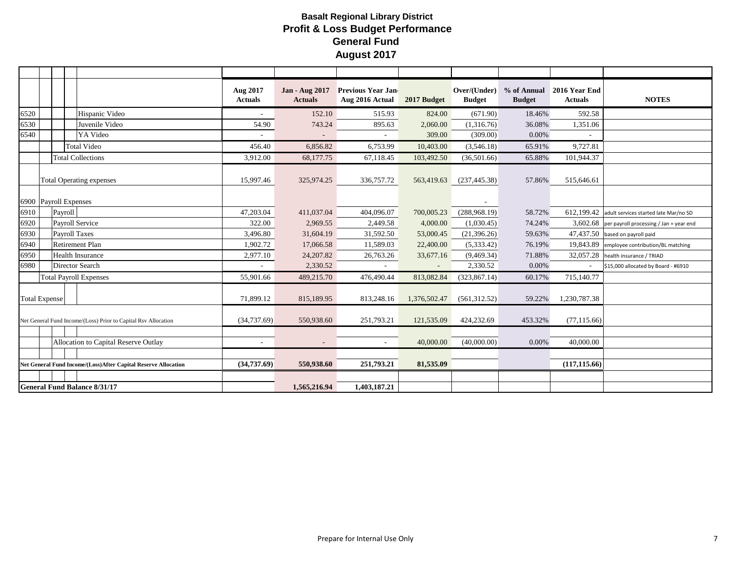|      |                                                                               |                                                                | Aug 2017<br><b>Actuals</b> | Jan - Aug 2017<br><b>Actuals</b> | <b>Previous Year Jan-</b><br>Aug 2016 Actual | 2017 Budget  | Over/(Under)<br><b>Budget</b> | <b>Budget</b> | % of Annual 2016 Year End<br><b>Actuals</b> | <b>NOTES</b>                                       |
|------|-------------------------------------------------------------------------------|----------------------------------------------------------------|----------------------------|----------------------------------|----------------------------------------------|--------------|-------------------------------|---------------|---------------------------------------------|----------------------------------------------------|
| 6520 |                                                                               | Hispanic Video                                                 | $\sim$                     | 152.10                           | 515.93                                       | 824.00       | (671.90)                      | 18.46%        | 592.58                                      |                                                    |
| 6530 |                                                                               | Juvenile Video                                                 | 54.90                      | 743.24                           | 895.63                                       | 2,060.00     | (1,316.76)                    | 36.08%        | 1,351.06                                    |                                                    |
| 6540 |                                                                               | YA Video                                                       |                            |                                  |                                              | 309.00       | (309.00)                      | 0.00%         |                                             |                                                    |
|      |                                                                               | <b>Total Video</b>                                             | 456.40                     | 6,856.82                         | 6,753.99                                     | 10,403.00    | (3,546.18)                    | 65.91%        | 9,727.81                                    |                                                    |
|      |                                                                               | <b>Total Collections</b>                                       | 3,912.00                   | 68,177.75                        | 67,118.45                                    | 103,492.50   | (36,501.66)                   | 65.88%        | 101,944.37                                  |                                                    |
|      |                                                                               | <b>Total Operating expenses</b>                                | 15,997.46                  | 325,974.25                       | 336,757.72                                   | 563,419.63   | (237, 445.38)                 | 57.86%        | 515,646.61                                  |                                                    |
|      | 6900 Payroll Expenses                                                         |                                                                |                            |                                  |                                              |              |                               |               |                                             |                                                    |
| 6910 | Payroll                                                                       |                                                                | 47,203.04                  | 411,037.04                       | 404,096.07                                   | 700,005.23   | (288,968.19)                  | 58.72%        |                                             | 612,199.42 adult services started late Mar/no SD   |
| 6920 | <b>Payroll Service</b>                                                        |                                                                | 322.00                     | 2,969.55                         | 2,449.58                                     | 4,000.00     | (1,030.45)                    | 74.24%        |                                             | $3,602.68$ per payroll processing / Jan = year end |
| 6930 | <b>Payroll Taxes</b>                                                          |                                                                | 3,496.80                   | 31,604.19                        | 31,592.50                                    | 53,000.45    | (21, 396.26)                  | 59.63%        |                                             | 47,437.50 based on payroll paid                    |
| 6940 |                                                                               | <b>Retirement Plan</b>                                         | 1,902.72                   | 17,066.58                        | 11,589.03                                    | 22,400.00    | (5,333.42)                    | 76.19%        |                                             | 19,843.89 employee contribution/BL matching        |
| 6950 |                                                                               | <b>Health Insurance</b>                                        | 2,977.10                   | 24, 207.82                       | 26,763.26                                    | 33,677.16    | (9,469.34)                    | 71.88%        |                                             | 32,057.28 health insurance / TRIAD                 |
| 6980 |                                                                               | <b>Director Search</b>                                         |                            | 2,330.52                         |                                              |              | 2,330.52                      | 0.00%         |                                             | \$15,000 allocated by Board - #6910                |
|      | <b>Total Payroll Expenses</b>                                                 |                                                                | 55,901.66                  | 489,215.70                       | 476,490.44                                   | 813,082.84   | (323, 867.14)                 | 60.17%        | 715,140.77                                  |                                                    |
|      | <b>Total Expense</b>                                                          |                                                                | 71,899.12                  | 815,189.95                       | 813,248.16                                   | 1,376,502.47 | (561,312.52)                  | 59.22%        | 1,230,787.38                                |                                                    |
|      |                                                                               | Net General Fund Income/(Loss) Prior to Capital Rsv Allocation | (34, 737.69)               | 550,938.60                       | 251,793.21                                   | 121,535.09   | 424,232.69                    | 453.32%       | (77, 115.66)                                |                                                    |
|      |                                                                               |                                                                |                            |                                  |                                              |              |                               |               |                                             |                                                    |
|      |                                                                               | Allocation to Capital Reserve Outlay                           | $\sim$                     | $\sim$                           |                                              | 40,000.00    | (40,000.00)                   | 0.00%         | 40,000.00                                   |                                                    |
|      |                                                                               |                                                                |                            |                                  |                                              |              |                               |               |                                             |                                                    |
|      | (34,737.69)<br>Net General Fund Income/(Loss)After Capital Reserve Allocation |                                                                | 550,938.60                 | 251,793.21                       | 81,535.09                                    |              |                               | (117, 115.66) |                                             |                                                    |
|      |                                                                               |                                                                |                            |                                  |                                              |              |                               |               |                                             |                                                    |
|      |                                                                               | <b>General Fund Balance 8/31/17</b>                            |                            | 1.565.216.94                     | 1,403,187.21                                 |              |                               |               |                                             |                                                    |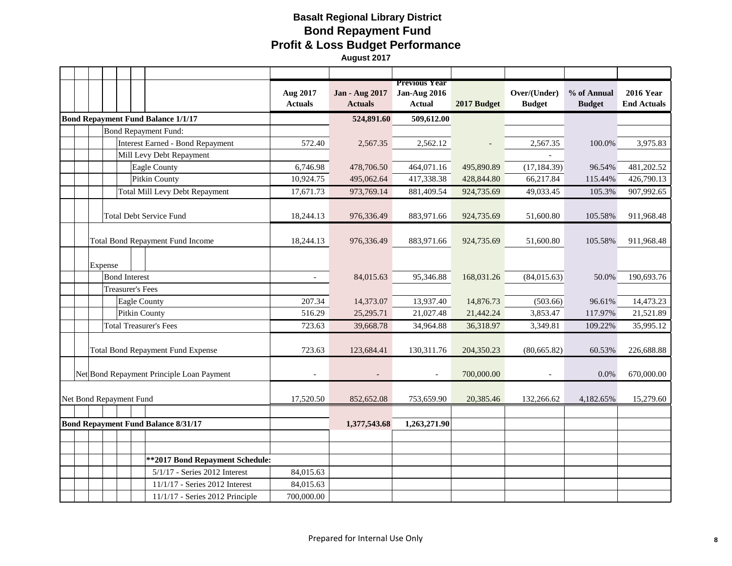# **Basalt Regional Library District Bond Repayment Fund Profit & Loss Budget Performance August 2017**

|                                            |                                         | Aug 2017<br><b>Actuals</b> | <b>Jan - Aug 2017</b><br><b>Actuals</b> | <b>Previous Year</b><br><b>Jan-Aug 2016</b><br><b>Actual</b> | 2017 Budget | Over/(Under)<br><b>Budget</b> | % of Annual<br><b>Budget</b> | <b>2016 Year</b><br><b>End Actuals</b> |
|--------------------------------------------|-----------------------------------------|----------------------------|-----------------------------------------|--------------------------------------------------------------|-------------|-------------------------------|------------------------------|----------------------------------------|
| <b>Bond Repayment Fund Balance 1/1/17</b>  |                                         |                            | 524,891.60                              | 509,612.00                                                   |             |                               |                              |                                        |
|                                            | <b>Bond Repayment Fund:</b>             |                            |                                         |                                                              |             |                               |                              |                                        |
|                                            | <b>Interest Earned - Bond Repayment</b> | 572.40                     | 2,567.35                                | 2,562.12                                                     |             | 2,567.35                      | 100.0%                       | 3,975.83                               |
| Mill Levy Debt Repayment                   |                                         |                            |                                         |                                                              |             |                               |                              |                                        |
| Eagle County                               |                                         | 6,746.98                   | 478,706.50                              | 464,071.16                                                   | 495,890.89  | (17, 184.39)                  | 96.54%                       | 481,202.52                             |
| Pitkin County                              |                                         | 10,924.75                  | 495,062.64                              | 417,338.38                                                   | 428,844.80  | 66,217.84                     | 115.44%                      | 426,790.13                             |
|                                            | <b>Total Mill Levy Debt Repayment</b>   | 17,671.73                  | 973,769.14                              | 881,409.54                                                   | 924,735.69  | 49,033.45                     | 105.3%                       | 907,992.65                             |
| <b>Total Debt Service Fund</b>             |                                         | 18,244.13                  | 976,336.49                              | 883,971.66                                                   | 924,735.69  | 51,600.80                     | 105.58%                      | 911,968.48                             |
| <b>Total Bond Repayment Fund Income</b>    |                                         | 18,244.13                  | 976,336.49                              | 883,971.66                                                   | 924,735.69  | 51,600.80                     | 105.58%                      | 911,968.48                             |
| Expense                                    |                                         |                            |                                         |                                                              |             |                               |                              |                                        |
| <b>Bond Interest</b>                       |                                         |                            | 84,015.63                               | 95,346.88                                                    | 168,031.26  | (84,015.63)                   | 50.0%                        | 190,693.76                             |
| <b>Treasurer's Fees</b>                    |                                         |                            |                                         |                                                              |             |                               |                              |                                        |
| <b>Eagle County</b>                        |                                         | 207.34                     | 14,373.07                               | 13,937.40                                                    | 14,876.73   | (503.66)                      | 96.61%                       | 14,473.23                              |
| <b>Pitkin County</b>                       |                                         | 516.29                     | 25,295.71                               | 21,027.48                                                    | 21,442.24   | 3,853.47                      | 117.97%                      | 21,521.89                              |
| <b>Total Treasurer's Fees</b>              |                                         | 723.63                     | 39,668.78                               | 34,964.88                                                    | 36,318.97   | 3,349.81                      | 109.22%                      | 35,995.12                              |
| Total Bond Repayment Fund Expense          |                                         | 723.63                     | 123,684.41                              | 130,311.76                                                   | 204,350.23  | (80,665.82)                   | 60.53%                       | 226,688.88                             |
| Net Bond Repayment Principle Loan Payment  |                                         | $\sim$                     |                                         | $\bar{a}$                                                    | 700,000.00  |                               | 0.0%                         | 670,000.00                             |
| Net Bond Repayment Fund                    |                                         | 17,520.50                  | 852,652.08                              | 753,659.90                                                   | 20,385.46   | 132,266.62                    | 4,182.65%                    | 15,279.60                              |
|                                            |                                         |                            |                                         |                                                              |             |                               |                              |                                        |
| <b>Bond Repayment Fund Balance 8/31/17</b> |                                         |                            | 1,377,543.68                            | 1,263,271.90                                                 |             |                               |                              |                                        |
|                                            |                                         |                            |                                         |                                                              |             |                               |                              |                                        |
|                                            | ** 2017 Bond Repayment Schedule:        |                            |                                         |                                                              |             |                               |                              |                                        |
|                                            | 5/1/17 - Series 2012 Interest           | 84,015.63                  |                                         |                                                              |             |                               |                              |                                        |
|                                            | 11/1/17 - Series 2012 Interest          | 84,015.63                  |                                         |                                                              |             |                               |                              |                                        |
|                                            | 11/1/17 - Series 2012 Principle         | 700,000.00                 |                                         |                                                              |             |                               |                              |                                        |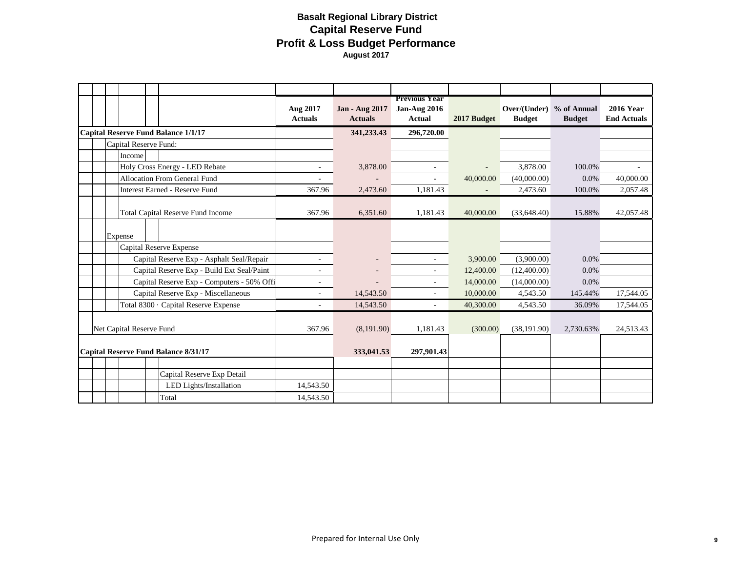# **Basalt Regional Library District Capital Reserve Fund Profit & Loss Budget Performance August 2017**

|  |         |                                             | Aug 2017<br><b>Actuals</b> | <b>Jan - Aug 2017</b><br><b>Actuals</b> | <b>Previous Year</b><br><b>Jan-Aug 2016</b><br><b>Actual</b> | 2017 Budget | Over/(Under) % of Annual<br><b>Budget</b> | <b>Budget</b> | <b>2016 Year</b><br><b>End Actuals</b> |
|--|---------|---------------------------------------------|----------------------------|-----------------------------------------|--------------------------------------------------------------|-------------|-------------------------------------------|---------------|----------------------------------------|
|  |         | <b>Capital Reserve Fund Balance 1/1/17</b>  |                            | 341,233.43                              | 296,720.00                                                   |             |                                           |               |                                        |
|  |         | Capital Reserve Fund:                       |                            |                                         |                                                              |             |                                           |               |                                        |
|  | Income  |                                             |                            |                                         |                                                              |             |                                           |               |                                        |
|  |         | Holy Cross Energy - LED Rebate              | ÷,                         | 3,878.00                                |                                                              |             | 3,878.00                                  | 100.0%        |                                        |
|  |         | Allocation From General Fund                | $\overline{\phantom{a}}$   |                                         | $\overline{\phantom{a}}$                                     | 40,000.00   | (40,000.00)                               | $0.0\%$       | 40,000.00                              |
|  |         | <b>Interest Earned - Reserve Fund</b>       | 367.96                     | 2,473.60                                | 1,181.43                                                     |             | 2,473.60                                  | 100.0%        | 2,057.48                               |
|  |         | <b>Total Capital Reserve Fund Income</b>    | 367.96                     | 6,351.60                                | 1.181.43                                                     | 40,000.00   | (33.648.40)                               | 15.88%        | 42,057.48                              |
|  | Expense |                                             |                            |                                         |                                                              |             |                                           |               |                                        |
|  |         | Capital Reserve Expense                     |                            |                                         |                                                              |             |                                           |               |                                        |
|  |         | Capital Reserve Exp - Asphalt Seal/Repair   | ä,                         |                                         |                                                              | 3,900.00    | (3,900.00)                                | $0.0\%$       |                                        |
|  |         | Capital Reserve Exp - Build Ext Seal/Paint  | ä,                         |                                         |                                                              | 12,400.00   | (12,400.00)                               | 0.0%          |                                        |
|  |         | Capital Reserve Exp - Computers - 50% Offi  | $\overline{\phantom{a}}$   |                                         | $\overline{\phantom{a}}$                                     | 14,000.00   | (14,000.00)                               | $0.0\%$       |                                        |
|  |         | Capital Reserve Exp - Miscellaneous         |                            | 14,543.50                               | $\overline{\phantom{a}}$                                     | 10,000.00   | 4,543.50                                  | 145.44%       | 17,544.05                              |
|  |         | Total 8300 · Capital Reserve Expense        | ÷,                         | 14,543.50                               | $\sim$                                                       | 40,300.00   | 4,543.50                                  | 36.09%        | 17,544.05                              |
|  |         | Net Capital Reserve Fund                    | 367.96                     | (8,191.90)                              | 1,181.43                                                     | (300.00)    | (38, 191.90)                              | 2,730.63%     | 24,513.43                              |
|  |         | <b>Capital Reserve Fund Balance 8/31/17</b> |                            | 333,041.53                              | 297,901.43                                                   |             |                                           |               |                                        |
|  |         |                                             |                            |                                         |                                                              |             |                                           |               |                                        |
|  |         | Capital Reserve Exp Detail                  |                            |                                         |                                                              |             |                                           |               |                                        |
|  |         | LED Lights/Installation                     | 14,543.50                  |                                         |                                                              |             |                                           |               |                                        |
|  |         | Total                                       | 14,543.50                  |                                         |                                                              |             |                                           |               |                                        |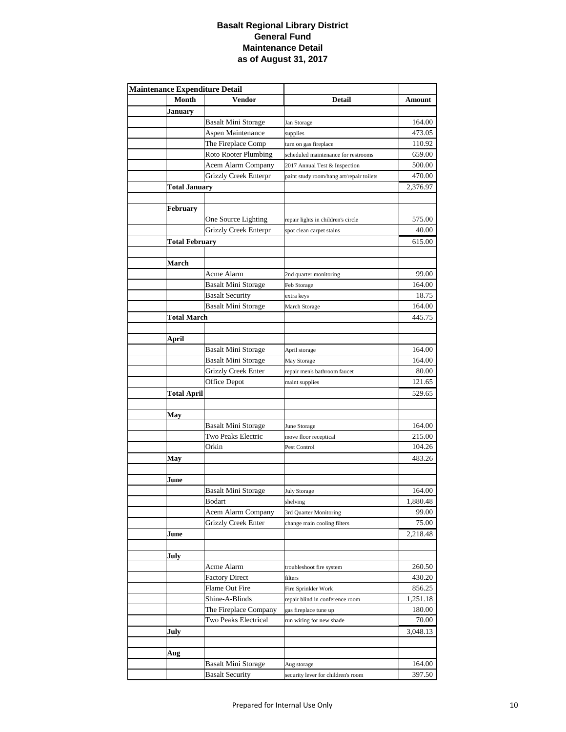### **Basalt Regional Library District General Fund Maintenance Detail as of August 31, 2017**

| <b>Maintenance Expenditure Detail</b> |                            |                                          |          |
|---------------------------------------|----------------------------|------------------------------------------|----------|
| Month                                 | Vendor                     | <b>Detail</b>                            | Amount   |
| <b>January</b>                        |                            |                                          |          |
|                                       | Basalt Mini Storage        | Jan Storage                              | 164.00   |
|                                       | Aspen Maintenance          | supplies                                 | 473.05   |
|                                       | The Fireplace Comp         | turn on gas fireplace                    | 110.92   |
|                                       | Roto Rooter Plumbing       | scheduled maintenance for restrooms      | 659.00   |
|                                       | Acem Alarm Company         | 2017 Annual Test & Inspection            | 500.00   |
|                                       | Grizzly Creek Enterpr      | paint study room/hang art/repair toilets | 470.00   |
| <b>Total January</b>                  |                            |                                          | 2,376.97 |
|                                       |                            |                                          |          |
| February                              |                            |                                          |          |
|                                       | One Source Lighting        | repair lights in children's circle       | 575.00   |
|                                       | Grizzly Creek Enterpr      | spot clean carpet stains                 | 40.00    |
| <b>Total February</b>                 |                            |                                          | 615.00   |
|                                       |                            |                                          |          |
| March                                 |                            |                                          |          |
|                                       | Acme Alarm                 | 2nd quarter monitoring                   | 99.00    |
|                                       | <b>Basalt Mini Storage</b> | Feb Storage                              | 164.00   |
|                                       | <b>Basalt Security</b>     | extra keys                               | 18.75    |
|                                       | <b>Basalt Mini Storage</b> | March Storage                            | 164.00   |
| <b>Total March</b>                    |                            |                                          | 445.75   |
|                                       |                            |                                          |          |
| April                                 |                            |                                          |          |
|                                       | Basalt Mini Storage        | April storage                            | 164.00   |
|                                       | <b>Basalt Mini Storage</b> | May Storage                              | 164.00   |
|                                       | <b>Grizzly Creek Enter</b> | repair men's bathroom faucet             | 80.00    |
|                                       | Office Depot               | maint supplies                           | 121.65   |
| <b>Total April</b>                    |                            |                                          | 529.65   |
|                                       |                            |                                          |          |
| May                                   |                            |                                          |          |
|                                       | <b>Basalt Mini Storage</b> | June Storage                             | 164.00   |
|                                       | Two Peaks Electric         | move floor receptical                    | 215.00   |
|                                       | Orkin                      | Pest Control                             | 104.26   |
| May                                   |                            |                                          | 483.26   |
|                                       |                            |                                          |          |
| June                                  |                            |                                          |          |
|                                       | <b>Basalt Mini Storage</b> | <b>July Storage</b>                      | 164.00   |
|                                       | Bodart                     | shelving                                 | 1,880.48 |
|                                       | Acem Alarm Company         | 3rd Quarter Monitoring                   | 99.00    |
|                                       | <b>Grizzly Creek Enter</b> | change main cooling filters              | 75.00    |
| June                                  |                            |                                          | 2,218.48 |
|                                       |                            |                                          |          |
| July                                  |                            |                                          |          |
|                                       | Acme Alarm                 | troubleshoot fire system                 | 260.50   |
|                                       | <b>Factory Direct</b>      | filters                                  | 430.20   |
|                                       | Flame Out Fire             | Fire Sprinkler Work                      | 856.25   |
|                                       | Shine-A-Blinds             | repair blind in conference room          | 1,251.18 |
|                                       | The Fireplace Company      | gas fireplace tune up                    | 180.00   |
|                                       | Two Peaks Electrical       | run wiring for new shade                 | 70.00    |
| July                                  |                            |                                          | 3,048.13 |
|                                       |                            |                                          |          |
| Aug                                   |                            |                                          |          |
|                                       | <b>Basalt Mini Storage</b> | Aug storage                              | 164.00   |
|                                       | <b>Basalt Security</b>     | security lever for children's room       | 397.50   |
|                                       |                            |                                          |          |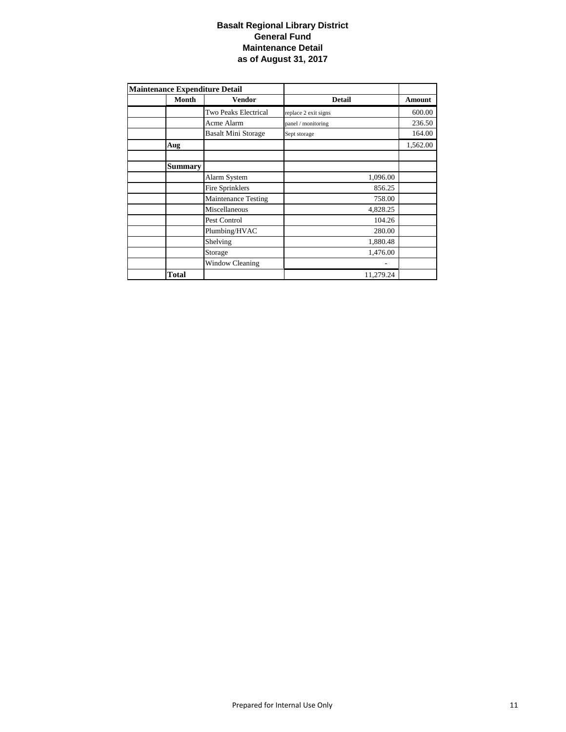### **Basalt Regional Library District General Fund Maintenance Detail as of August 31, 2017**

| <b>Maintenance Expenditure Detail</b> |                            |                      |          |
|---------------------------------------|----------------------------|----------------------|----------|
| Month                                 | Vendor                     | <b>Detail</b>        | Amount   |
|                                       | Two Peaks Electrical       | replace 2 exit signs | 600.00   |
|                                       | Acme Alarm                 | panel / monitoring   | 236.50   |
|                                       | <b>Basalt Mini Storage</b> | Sept storage         | 164.00   |
| Aug                                   |                            |                      | 1,562.00 |
|                                       |                            |                      |          |
| <b>Summary</b>                        |                            |                      |          |
|                                       | Alarm System               | 1,096.00             |          |
|                                       | Fire Sprinklers            | 856.25               |          |
|                                       | <b>Maintenance Testing</b> | 758.00               |          |
|                                       | Miscellaneous              | 4,828.25             |          |
|                                       | Pest Control               | 104.26               |          |
|                                       | Plumbing/HVAC              | 280.00               |          |
|                                       | Shelving                   | 1,880.48             |          |
|                                       | Storage                    | 1,476.00             |          |
|                                       | <b>Window Cleaning</b>     |                      |          |
| Total                                 |                            | 11,279.24            |          |